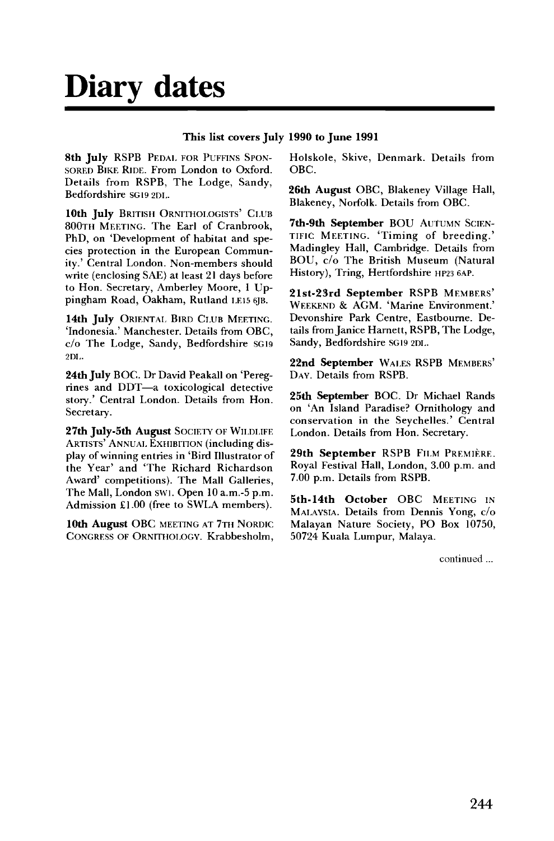## **Diary dates**

## **This list covers July 1990 to June 1991**

**8th July** RSPB PEDAL FOR PUFFINS SPON-SORED BIKE RIDE. From London to Oxford. Details from RSPB, The Lodge, Sandy, Bedfordshire SG19 2DI..

**10th July** BRITISH ORNITHOLOGISTS' CLUB 800TH MEETING. The Earl of Cranbrook, PhD, on 'Development of habitat and species protection in the European Community.' Central London. Non-members should write (enclosing SAE) at least 21 days before to Hon. Secretary, Amberley Moore, 1 Uppingham Road, Oakham, Rutland I.E15 6JB.

**14th July** ORIENTAL BIRD CLUB MEETING. 'Indonesia.' Manchester. Details from OBC, c/o The Lodge, Sandy, Bedfordshire SG19 2DL.

**24th July** BOC. Dr David Peakall on 'Peregrines and DDT—a toxicological detective story.' Central London. Details from Hon. Secretary.

**27th July-5th August** SOCIETY OF WILDLIFE ARTISTS' ANNUAL EXHIBITION (including display of winning entries in 'Bird Illustrator of the Year' and 'The Richard Richardson Award' competitions). The Mall Galleries, The Mall, London SW1. Open 10 a.m.-5 p.m. Admission £1.00 (free to SWLA members).

**10th August** OBC MEETING AT 7TH NORDIC CONGRESS OF ORNITHOLOGY. Krabbesholm, Holskole, Skive, Denmark. Details from OBC.

**26th August** OBC, Blakeney Village Hall, Blakeney, Norfolk. Details from OBC.

**7th-9th September** BOU AUTUMN SCIEN-TIFIC MEETING. 'Timing of breeding.' Madingley Hall, Cambridge. Details from BOU, c/o The British Museum (Natural History), Tring, Hertfordshire HP23 6AP.

**21st-23rd September** RSPB MEMBERS' WEEKEND & AGM. 'Marine Environment.' Devonshire Park Centre, Eastbourne. Details from Janice Harnett, RSPB, The Lodge, Sandy, Bedfordshire SG19 2DL.

**22nd September** WALES RSPB MEMBERS' DAY. Details from RSPB.

**25th September** BOC. Dr Michael Rands on 'An Island Paradise? Ornithology and conservation in the Seychelles.' Central London. Details from Hon. Secretary.

29th September RSPB FILM PREMIÈRE. Royal Festival Hall, London, 3.00 p.m. and 7.00 p.m. Details from RSPB.

**5th-14th October** OBC MEETING IN MALAYSIA. Details from Dennis Yong, c/o Malayan Nature Society, PO Box 10750, 50724 Kuala Lumpur, Malaya.

continued...